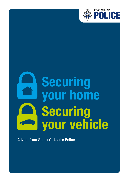

# **Securing** your home Securing your vehicle

Advice from South Yorkshire Police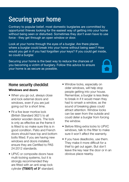## Securing your home

Contrary to popular belief, most domestic burglaries are committed by opportunist thieves looking for the easiest way of getting into your home without being seen or disturbed. Sometimes they don't even have to use force - they get through an open window or door.

Look at your home through the eyes of a burglar. Are there places where a burglar could break into your home without being seen? How would you get in if you had forgotten your keys? If you could get inside, so could a burglar.

Securing your home is the best way to reduce the chances of you becoming a victim of burglary. Follow this advice to ensure your home is as secure as possible.

#### Home security checklist

#### Windows and doors

- When you go out, always close and lock external doors and windows, even if you are just going out for a short time.
- Fit a five lever mortice lock (British Standard 3621) to all exterior wooden doors. The lock is only as effective as the frame it is fitted to so make sure this is in good condition. Patio and French doors should have top and bottom bolts fitted. If you are having new windows and doors installed. ensure they are Certified to PAS 24:2012 standards.
- UPVC or composite doors have multi-locking systems, but it is strongly recommended they are fitted with an anti-snap lock cylinder (TS007) of 3\* standard.
- Window locks, especially on older windows, will help stop people getting into your house. Remember, a burglar is less likely to break in if it would mean they had to smash a window, as the sound of breaking glass could attract attention. Window locks can be seen from the outside and could deter a burglar from forcing the window.
- Before fitting extra locks to UPVC windows, talk to the fitter to make sure it won't affect the warranty.
- If you have deadlocks, use them. They make it more difficult for a thief to get out again. But don't leave the key near the door or in an obvious place nearby.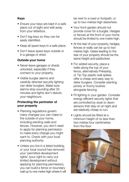#### Keys

- Ensure your keys are kept in a safe place out of sight and well away from your letterbox.
- Don't tag keys so they can be easily identified.
- Keep all spare keys in a safe place.
- Don't leave spare keys outside or in a garage or shed.

#### Outside your home

- Never leave garages or sheds unlocked, especially if they connect to your property.
- Visible burglar alarms and carefully directed security lighting can deter burglars. Make sure alarms stop sounding after 20 minutes and lights don't disturb your neighbours.

#### Protecting the perimeter of your property

- Planning regulations govern many changes you can make to the outside of your home, including erecting walls and fences. However, you don't need to apply for planning permission to make every change you might want to. Check with your local planning authority.
- Unless you live in a listed building, or your local council has removed your 'permitted development rights' (your right to carry out limited development without applying for planning permission), you can build a fence or boundary wall up to one metre high where it will

be next to a road or footpath, or up to two metres high elsewhere.

- Your front garden should not provide cover for a burglar. Hedges or fences at the front of your home should be limited to one metre high.
- At the rear of your property, hedges, fences or walls can be up to two metres high. Gates leading to the rear of your property should be the same height and padlocked.
- For added security, place a trellis along the top of your fence, alternatively Prikastrip, or Tip Top plastic wall spikes offer a cheap and easy way to deter burglars. Consider planting prickly or thorny bushes alongside fencing.
- Fit lighting in your garden. Consider energy efficient security lights that are controlled by dusk to dawn sensors that stay on at night and are relatively cheap to run.
- Lights should be fitted at a minimum height of no less than two metres four centimetres from the floor.

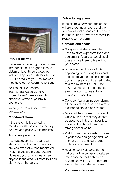

#### Intruder alarms

If you are considering buying a new intruder alarm, it's a good idea to obtain at least three quotes from industry approved installers (NSI or SSAIB) or talk to your insurer who may have some recommendations.

You could also use the Trading Standards website buywithconfidence.gov.uk to check for vetted suppliers in your area.

*Three types of intruder alarms are available:*

#### Monitored alarm

If the system is breached, a monitoring station informs the key holders and police within minutes.

#### Audio only alarms

If activated, an alarm sound will alert your neighbours. These alarms are less expensive than monitored systems and are a good deterrent. However, you cannot guarantee anyone in the area will react to it and alert you or the police.

#### Auto-dialling alarm

If the alarm is activated, the sound will alert your neighbours and the system will dial a series of telephone numbers. This allows the receiver to respond to the alarm.

#### Garages and sheds

- Garages and sheds are often used to store expensive tools and equipment. A burglar could steal these or use them to break into your home.
- To reduce the chance of this happening, fit a strong hasp and padlock to your shed and garage doors. These should be certificated to a minimum of BS EN 12320: 2001. Make sure the doors are strong enough to resist being kicked or pushed in.
- Consider fitting an intruder alarm, either linked to the house alarm or a separate stand alone system.
- Move ladders, tables, chairs and wheelie bins so that they cannot be used to climb on. If possible, chain and padlock them to a strong anchor point.
- Visibly mark the property you keep in your shed and garage and use anchor points to secure larger tools and equipment.
- Register your valuables at the national online property database Immobilise so that police can reunite you with them if they are ever stolen and later recovered

#### Visit immobilise.com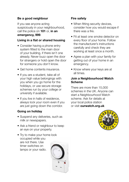#### Be a good neighbour

If you see anyone acting suspiciously in your neighbourhood, call the police on 101 or, in an emergency, 999.

#### Living in a flat or shared housing

- Consider having a phone entry system fitted to the main door of your building, if there isn't one already. Never buzz open the door for strangers or hold open the door for someone you don't know.
- Get home contents insurance.
- If you are a student, take all of your high value belongings with you when you go home for the holidays, or use secure storage schemes run by your college or university if available.
- If you live in halls of residence, always lock your room even if you are just going down the corridor.

#### Going on holiday

- Suspend any deliveries, such as milk or newspapers.
- Ask a friend or neighbour to keep an eye on your property.
- Try to make your home look occupied while you are not there. Use timer switches on lamps or your radio.

#### Fire safety

- When fitting security devices, consider how you would escape if there was a fire.
- Fit at least one smoke detector on every floor of your home. Follow the manufacturer's instructions carefully and check they are working at least once a month.
- Agree a plan with your family for getting out of your home in an emergency.
- Know where your keys are at all times.

#### Join a Neighbourhood Watch Scheme

There are more than 15,000 schemes in the UK. Anyone can start a Neighbourhood Watch scheme. Ask for details at your local police station or visit ourwatch.org.uk

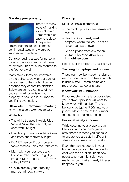#### Marking your property



There are many ways of marking your valuables. Some would be easy to replace if they were

stolen, but others hold immense sentimental value and would be impossible to replace.

Consider buying a safe for personal papers, passports and small items of jewellery. This must be secured to the floor or a wall.

Many stolen items are recovered by the police every year but cannot be returned to their rightful owner because they cannot be identified. Below are some examples of how you can mark or register your property to ensure it is returned to you if it is ever stolen.

#### Ultraviolet & Permanent marking

*How to use your property marker*

#### White tip

- The white tip uses invisible Ultra Violet (UV) ink that can only be seen with UV light
- Use this tip to mark electrical items and keep out of direct sunlight
- Do NOT use on TV, computer or tablet screens - only mark the case
- Mark with your postcode and house number/name - e.g. if you live at 7 Main Road, S1 2PC mark with S1 2PC 7
- Clearly display your 'property marked' window stickers

#### Black tip

Mark as above instructions

- The black tip is a visible permanent marker
- Use this tip to clearly mark property where the look is not an issue -e.g. lawnmowers
- To help police trace any stolen property, log your valuables on immobilise.com

Report stolen property by calling 101

#### Tracking for laptops and phones

These can now be traced if stolen by using online tracking software, which is usually free. Search online and register your laptop or phone.

#### Know your IMEI number

If your mobile phone is lost or stolen, your network provider will want to know your IMEI number. This can be found by typing \*#06# into your phone. Make a note of the number that appears and keep it safe.

#### Personal safety at home

While securing your property can keep you and your belongings safe, there are steps you can take to ensure you are safe in different situations you may find yourself in.

If you think an intruder is in your home, only you can decide how to deal with the situation. Think now about what you might do - you might not be thinking clearly if it ever happens to you.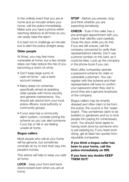In the unlikely event that you are at home and an intruder enters your home, call the police immediately. Make sure you have a phone within reaching distance at all times so you can easily raise the alarm.

It is best not to challenge an intruder but to alert the police straight away.

#### Older people

At times, you may feel more vulnerable at home, but a few simple steps can help reduce the risk of you becoming a victim of crime.

- Don't keep large sums of cash at home - use a bank account instead.
- Many areas run schemes specifically aimed at assisting older people with home security and general maintenance. You should ask advice from your local police officers, local authority or community groups.
- If your area has a community alarm system, consider joining the scheme so you can alert someone if you trip or fall or are feeling unsafe at home.

#### Bogus callers

Most people who call at your home will be genuine, but sometimes criminals do try to trick their way into people's homes.

This advice will help to keep you safe at home.

**LOCK** - keep your front and back doors locked even when you are at home.

**STOP** - Before you answer, stop and think whether you are expecting somebody.

**CHECK** - Fyen if the caller has a pre-arranged appointment with you, check their identity card carefully. Close the door while you do this. If you are still unsure, call the company concerned to verify their representative's identity. Don't use a phone number on the card, as it could be fake. Look up the company in the phone book if you can.

Most utility companies operate a password scheme for older or vulnerable customers. You can register with the scheme and their representative will have to confirm your password when they visit to prove they are a genuine employee of the company.

Bogus callers may be smartly dressed and often claim to be from the police, the council or the 'water board'. They sometimes claim to be builders or gardeners and try to trick people into paying for unnecessary work. You should never agree to having work done by someone who is just passing by. If you need work doing, get at least two quotes from reputable companies.

#### If you think a bogus caller has been to your home, call the police immediately on 999.

#### If you have any doubts KEEP THEM OUT!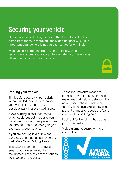## Securing your vehicle

Crimes against vehicles, including the theft of and theft of items from them, is reducing locally and nationally. But it is important your vehicle is not an easy target for criminals.

Most vehicle crime can be prevented. Follow these recommendations and you can be confident you have done all you can to protect your vehicle.

#### Parking your vehicle

Think before you park, particularly when it is dark or if you are leaving your vehicle for a long time. If possible, park in a busy well-lit area.

Avoid parking in secluded spots which could put both you and your car at risk. This includes parking near your home. Use a lockable garage if you have access to one.

If you are parking in a public car park, use one that has achieved the Park Mark Safer Parking Award.

The award is granted to parking areas that have achieved the requirements of a risk assessment as conducted by the police.

These requirements mean the parking operator has put in place measures that help to deter criminal activity and antisocial behaviour, thereby doing everything they can to prevent crime and reduce the fear of crime in their parking area.

Look out for this sign when using public car parks.

Visit parkmark.co.uk for more information.

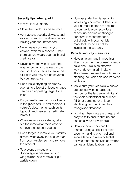#### Security tips when parking

- Always lock all doors.
- Close the windows and sunroof.
- Activate any security devices, such as alarms and immobilisers, when leaving your car unattended.
- Never leave your keys in your vehicle, even for a second. Treat them as you would your cash and credit cards.
- Never leave the vehicle with the engine running or the keys in the ignition. If your car is stolen in this situation you may not be covered by your insurance.
- Don't leave anything on display even an old jacket or loose change can be an appealing target for a thief.
- Do you really need all those things in the glove box? Never store your vehicle's documents, such as its logbook and insurance certificate, inside it.
- When leaving your vehicle, take out the removable radio cover or remove the stereo if you can.
- Don't forget to remove your satnav device, wipe away the sucker mark from your windscreen and remove the bracket.
- To prevent damage and discourage vandalism, tuck in wing mirrors and remove or put aerials down.

• Number plate theft is becoming increasingly common. Make sure your number plates are secured to your vehicle correctly. Use of security screws or stronger adhesive is recommended, but check with your vehicle manufacturer so as not to invalidate the warranty.

#### Vehicle security measures

- Have an alarm and immobiliser fitted if your vehicle doesn't already have one. This is an effective way of deterring criminals. A Thatcham-compliant immobiliser or steering lock can help secure older vehicles.
- Make sure your vehicle's windows are etched with its registration number or the last seven digits of the vehicle identification number (VIN), or some other unique identifying number linked to a recognised database.
- Locking wheel nuts are cheap and easy to fit to ensure that no one can steal your alloy wheels.
- Catalytic converters can be marked using a specialist metal security marking chemical and secure labels to warn potential thieves that the catalytic converter carries an identification mark.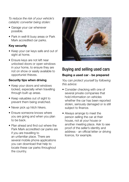*To reduce the risk of your vehicle's catalytic converter being stolen:*

- Garage your car whenever possible.
- Park in well-lit busy areas or Park Mark accredited car parks.

#### Key security

- Keep your car keys safe and out of sight at home.
- Ensure keys are not left near unlocked doors or open windows in your home, to ensure they are not on show or easily available to opportunist thieves.

#### Security tips when driving

- Keep your doors and windows locked, especially when travelling through built up areas.
- Keep valuables out of sight to prevent them being snatched.
- Never pick up hitch hikers.
- Ensure someone knows where you are going and when you plan to be back.
- Plan ahead and find out where the Park Mark accredited car parks are if you are travelling to an unfamiliar place. There are several mobile phone applications you can download that help to locate these car parks throughout the country.



### Buying and selling used cars Buying a used car - be prepared

*You can protect yourself by following this advice:*

- Consider checking with one of several private companies that hold information on vehicles whether the car has been reported stolen, seriously damaged or is still subject to finance.
- Always arrange to meet the person selling the car at their house, not at your house or another meeting place. Ask to see proof of the seller's identity and address - an official letter or driving licence, for example.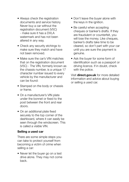- Always check the registration documents and service history. Never buy a car without the registration document (V5C) - make sure it has a DVLA watermark and has not been altered in any way.
- Check any security etchings to make sure they match and have not been removed.
- Make sure the car's VIN matches that on the registration document (V5C) - The VIN, formerly known as the chassis number, is a unique 17 character number issued to every vehicle by the manufacturer and can be found:
- Stamped on the body or chassis or frame.
- On a manufacturer's VIN plate under the bonnet or fixed to the post between the front and rear doors.
- On an additional plate fixed securely to the top corner of the dashboard, where it can easily be seen through the windscreen. This is called a visible VIN.

#### Selling a used car

There are some simple steps you can take to protect yourself from becoming a victim of crime when selling a car:

• Never let the buyer go on a test drive alone. They may not come back.

- Don't leave the buyer alone with the keys in the ignition.
- Be careful when accepting cheques or banker's drafts. If they are fraudulent or counterfeit, you will lose the money. Like cheques, banker's drafts take time to be cleared, so don't part with your car until you are sure the payment is genuine.
- Ask the buyer for some form of identification such as a passport or driving licence. If in doubt, check with the police.

Visit direct.gov.uk for more detailed information and advice about buying or selling a used car.